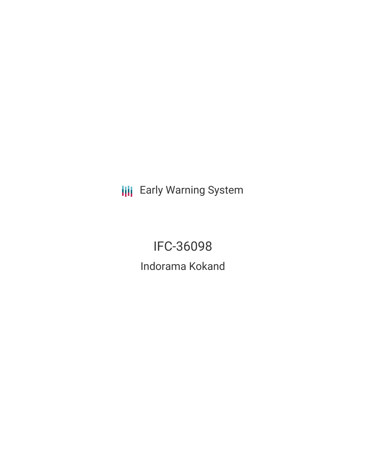**III** Early Warning System

IFC-36098 Indorama Kokand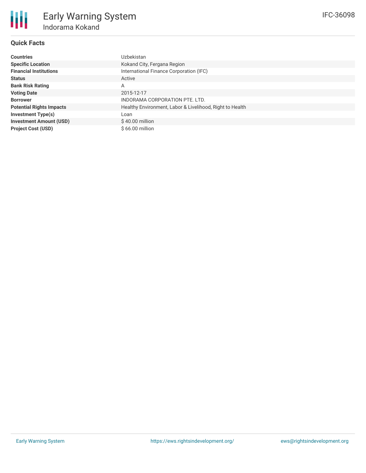## **Quick Facts**

| <b>Countries</b>                | Uzbekistan                                               |
|---------------------------------|----------------------------------------------------------|
| <b>Specific Location</b>        | Kokand City, Fergana Region                              |
| <b>Financial Institutions</b>   | International Finance Corporation (IFC)                  |
| <b>Status</b>                   | Active                                                   |
| <b>Bank Risk Rating</b>         | Α                                                        |
| <b>Voting Date</b>              | 2015-12-17                                               |
| <b>Borrower</b>                 | INDORAMA CORPORATION PTE. LTD.                           |
| <b>Potential Rights Impacts</b> | Healthy Environment, Labor & Livelihood, Right to Health |
| Investment Type(s)              | Loan                                                     |
| <b>Investment Amount (USD)</b>  | $$40.00$ million                                         |
| <b>Project Cost (USD)</b>       | $$66.00$ million                                         |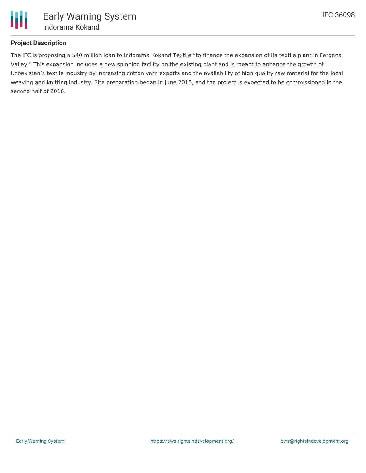

## **Project Description**

The IFC is proposing a \$40 million loan to Indorama Kokand Textile "to finance the expansion of its textile plant in Fergana Valley." This expansion includes a new spinning facility on the existing plant and is meant to enhance the growth of Uzbekistan's textile industry by increasing cotton yarn exports and the availability of high quality raw material for the local weaving and knitting industry. Site preparation began in June 2015, and the project is expected to be commissioned in the second half of 2016.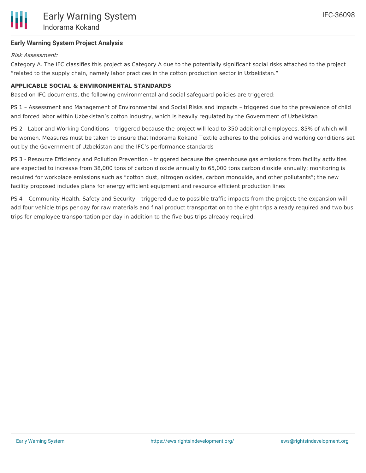## **Early Warning System Project Analysis**

## Risk Assessment:

Category A. The IFC classifies this project as Category A due to the potentially significant social risks attached to the project "related to the supply chain, namely labor practices in the cotton production sector in Uzbekistan."

## **APPLICABLE SOCIAL & ENVIRONMENTAL STANDARDS**

Based on IFC documents, the following environmental and social safeguard policies are triggered:

PS 1 – Assessment and Management of Environmental and Social Risks and Impacts – triggered due to the prevalence of child and forced labor within Uzbekistan's cotton industry, which is heavily regulated by the Government of Uzbekistan

PS 2 - Labor and Working Conditions – triggered because the project will lead to 350 additional employees, 85% of which will be women. Measures must be taken to ensure that Indorama Kokand Textile adheres to the policies and working conditions set out by the Government of Uzbekistan and the IFC's performance standards

PS 3 - Resource Efficiency and Pollution Prevention – triggered because the greenhouse gas emissions from facility activities are expected to increase from 38,000 tons of carbon dioxide annually to 65,000 tons carbon dioxide annually; monitoring is required for workplace emissions such as "cotton dust, nitrogen oxides, carbon monoxide, and other pollutants"; the new facility proposed includes plans for energy efficient equipment and resource efficient production lines

PS 4 – Community Health, Safety and Security – triggered due to possible traffic impacts from the project; the expansion will add four vehicle trips per day for raw materials and final product transportation to the eight trips already required and two bus trips for employee transportation per day in addition to the five bus trips already required.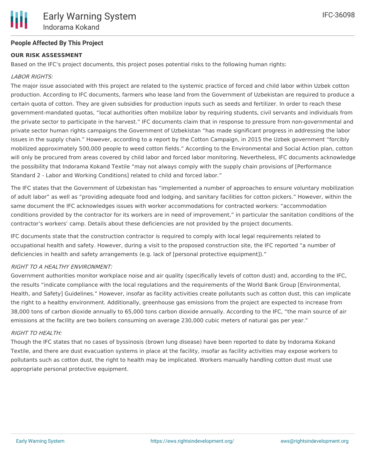## **People Affected By This Project**

#### **OUR RISK ASSESSMENT**

Based on the IFC's project documents, this project poses potential risks to the following human rights:

#### LABOR RIGHTS:

The major issue associated with this project are related to the systemic practice of forced and child labor within Uzbek cotton production. According to IFC documents, farmers who lease land from the Government of Uzbekistan are required to produce a certain quota of cotton. They are given subsidies for production inputs such as seeds and fertilizer. In order to reach these government-mandated quotas, "local authorities often mobilize labor by requiring students, civil servants and individuals from the private sector to participate in the harvest." IFC documents claim that in response to pressure from non-governmental and private sector human rights campaigns the Government of Uzbekistan "has made significant progress in addressing the labor issues in the supply chain." However, according to a report by the Cotton Campaign, in 2015 the Uzbek government "forcibly mobilized approximately 500,000 people to weed cotton fields." According to the Environmental and Social Action plan, cotton will only be procured from areas covered by child labor and forced labor monitoring. Nevertheless, IFC documents acknowledge the possibility that Indorama Kokand Textile "may not always comply with the supply chain provisions of [Performance Standard 2 - Labor and Working Conditions] related to child and forced labor."

The IFC states that the Government of Uzbekistan has "implemented a number of approaches to ensure voluntary mobilization of adult labor" as well as "providing adequate food and lodging, and sanitary facilities for cotton pickers." However, within the same document the IFC acknowledges issues with worker accommodations for contracted workers: "accommodation conditions provided by the contractor for its workers are in need of improvement," in particular the sanitation conditions of the contractor's workers' camp. Details about these deficiencies are not provided by the project documents.

IFC documents state that the construction contractor is required to comply with local legal requirements related to occupational health and safety. However, during a visit to the proposed construction site, the IFC reported "a number of deficiencies in health and safety arrangements (e.g. lack of [personal protective equipment])."

#### RIGHT TO A HEALTHY ENVIRONMENT:

Government authorities monitor workplace noise and air quality (specifically levels of cotton dust) and, according to the IFC, the results "indicate compliance with the local regulations and the requirements of the World Bank Group [Environmental, Health, and Safety] Guidelines." However, insofar as facility activities create pollutants such as cotton dust, this can implicate the right to a healthy environment. Additionally, greenhouse gas emissions from the project are expected to increase from 38,000 tons of carbon dioxide annually to 65,000 tons carbon dioxide annually. According to the IFC, "the main source of air emissions at the facility are two boilers consuming on average 230,000 cubic meters of natural gas per year."

#### RIGHT TO HEALTH:

Though the IFC states that no cases of byssinosis (brown lung disease) have been reported to date by Indorama Kokand Textile, and there are dust evacuation systems in place at the facility, insofar as facility activities may expose workers to pollutants such as cotton dust, the right to health may be implicated. Workers manually handling cotton dust must use appropriate personal protective equipment.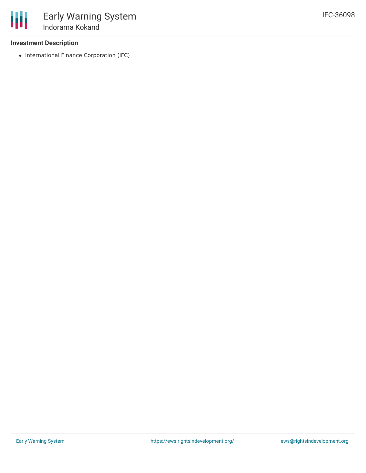## **Investment Description**

• International Finance Corporation (IFC)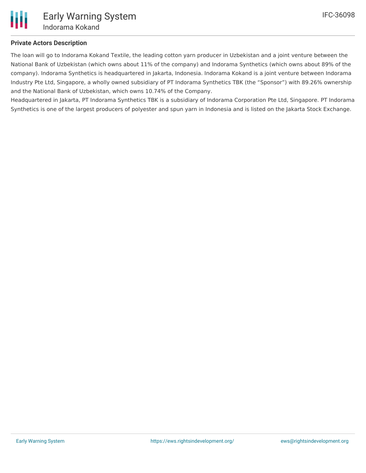

## **Private Actors Description**

The loan will go to Indorama Kokand Textile, the leading cotton yarn producer in Uzbekistan and a joint venture between the National Bank of Uzbekistan (which owns about 11% of the company) and Indorama Synthetics (which owns about 89% of the company). Indorama Synthetics is headquartered in Jakarta, Indonesia. Indorama Kokand is a joint venture between Indorama Industry Pte Ltd, Singapore, a wholly owned subsidiary of PT Indorama Synthetics TBK (the "Sponsor") with 89.26% ownership and the National Bank of Uzbekistan, which owns 10.74% of the Company.

Headquartered in Jakarta, PT Indorama Synthetics TBK is a subsidiary of Indorama Corporation Pte Ltd, Singapore. PT Indorama Synthetics is one of the largest producers of polyester and spun yarn in Indonesia and is listed on the Jakarta Stock Exchange.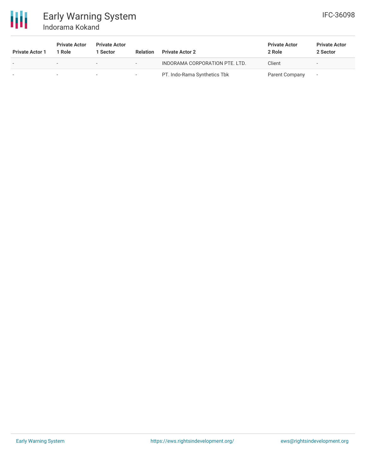

# Early Warning System Indorama Kokand

| <b>Private Actor 1</b> | <b>Private Actor</b><br>Role | <b>Private Actor</b><br>l Sector | <b>Relation</b>          | <b>Private Actor 2</b>         | <b>Private Actor</b><br>2 Role | <b>Private Actor</b><br>2 Sector |
|------------------------|------------------------------|----------------------------------|--------------------------|--------------------------------|--------------------------------|----------------------------------|
|                        | $\overline{\phantom{0}}$     | $\overline{\phantom{0}}$         | $-$                      | INDORAMA CORPORATION PTE. LTD. | Client                         | $\overline{\phantom{a}}$         |
|                        |                              | $\overline{\phantom{a}}$         | $\overline{\phantom{0}}$ | PT. Indo-Rama Synthetics Tbk   | Parent Company                 |                                  |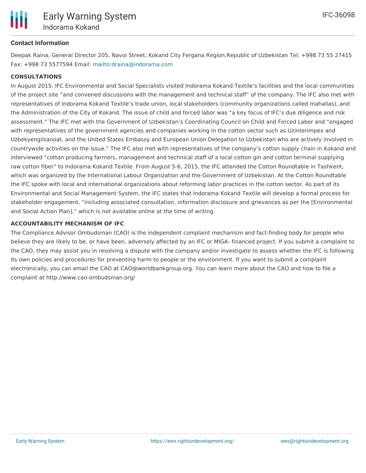

#### **Contact Information**

Deepak Raina, General Director 205, Navoi Street, Kokand City Fergana Region,Republic of Uzbekistan Tel: +998 73 55 27415 Fax: +998 73 5577594 Email: <mailto:draina@indorama.com>

#### **CONSULTATIONS**

In August 2015, IFC Environmental and Social Specialists visited Indorama Kokand Textile's facilities and the local communities of the project site "and convened discussions with the management and technical staff" of the company. The IFC also met with representatives of Indorama Kokand Textile's trade union, local stakeholders (community organizations called mahallas), and the Administration of the City of Kokand. The issue of child and forced labor was "a key focus of IFC's due diligence and risk assessment." The IFC met with the Government of Uzbekistan's Coordinating Council on Child and Forced Labor and "engaged with representatives of the government agencies and companies working in the cotton sector such as Uzinterimpex and Uzbekyengilsanoat, and the United States Embassy and European Union Delegation to Uzbekistan who are actively involved in countrywide activities on the issue." The IFC also met with representatives of the company's cotton supply chain in Kokand and interviewed "cotton producing farmers, management and technical staff of a local cotton gin and cotton terminal supplying raw cotton fiber" to Indorama Kokand Textile. From August 5-6, 2015, the IFC attended the Cotton Roundtable in Tashkent, which was organized by the International Labour Organization and the Government of Uzbekistan. At the Cotton Roundtable the IFC spoke with local and international organizations about reforming labor practices in the cotton sector. As part of its Environmental and Social Management System, the IFC states that Indorama Kokand Textile will develop a formal process for stakeholder engagement, "including associated consultation, information disclosure and grievances as per the [Environmental and Social Action Plan]," which is not available online at the time of writing.

#### **ACCOUNTABILITY MECHANISM OF IFC**

The Compliance Advisor Ombudsman (CAO) is the independent complaint mechanism and fact-finding body for people who believe they are likely to be, or have been, adversely affected by an IFC or MIGA- financed project. If you submit a complaint to the CAO, they may assist you in resolving a dispute with the company and/or investigate to assess whether the IFC is following its own policies and procedures for preventing harm to people or the environment. If you want to submit a complaint electronically, you can email the CAO at CAO@worldbankgroup.org. You can learn more about the CAO and how to file a complaint at http://www.cao-ombudsman.org/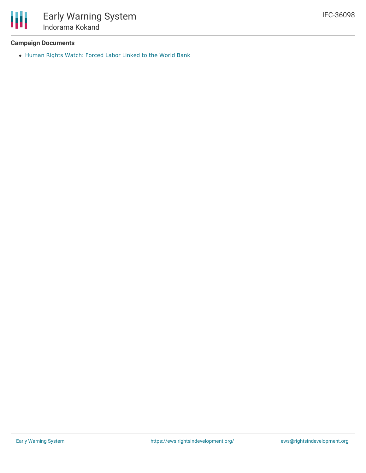## **Campaign Documents**

冊

[Human](https://www.hrw.org/news/2017/06/27/uzbekistan-forced-labor-linked-world-bank) Rights Watch: Forced Labor Linked to the World Bank